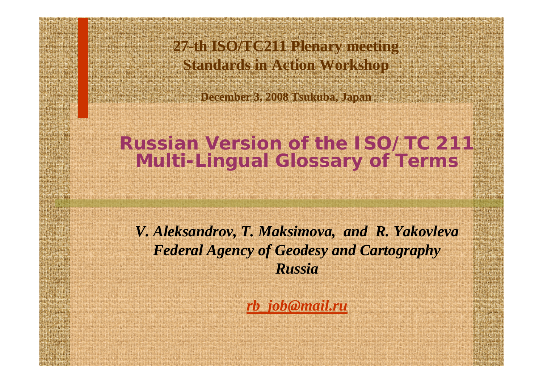**27-th SO/TC2211 Please meeting Standards in Action Workshop**

**December 3, 2008 Tsukuba, Japan**

#### **Russian Version of the ISO/TC 211 Multi-Lingual Glossary of Terms**

*V. Aleksandrov, T. Maksimova, and R. Yakovleva Federal Agency of Geodesy and Cartography Russia*

*[rb\\_job@mail.ru](mailto:rb_job@mail.ru)*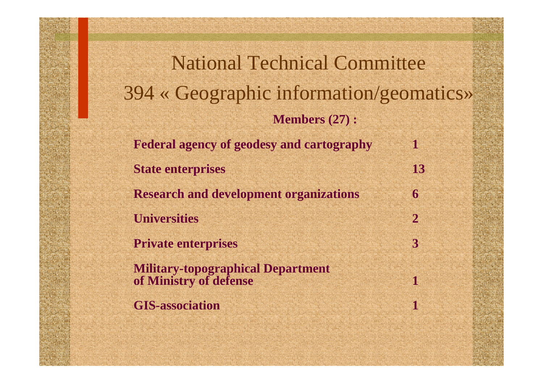National Technical Committee 394 « Geographic information/geomatics» **Members (27) : Federal agency of geodesy and cartography 1State enterprises 13Research and development organizations 6Universities 2Private enterprises 3Military-topographical Department of Ministry of defense 1**GIS-association **100 metal 100 metal 100 metal 100 metal**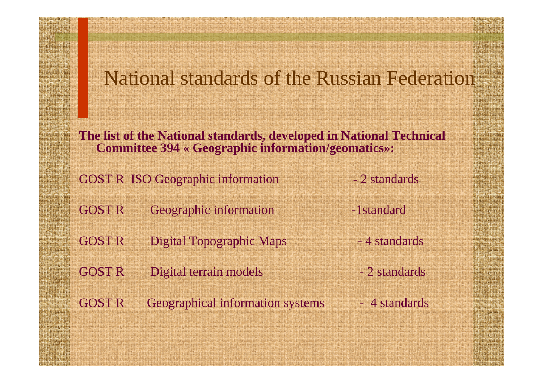#### National standards of the Russian Federation

**The list of the National standards, developed in National Technical Committee 394 « Geographic informati on/geomatics»:** 

**GOST R ISO Geographic information** 

2 standards

- GOST R Geographic information -1standard
- GOST R Digital Topographic Maps

GOST R Digital terrain models

GOST R Geographical information systems

- 4 standards
- 2 standards
- 4 standards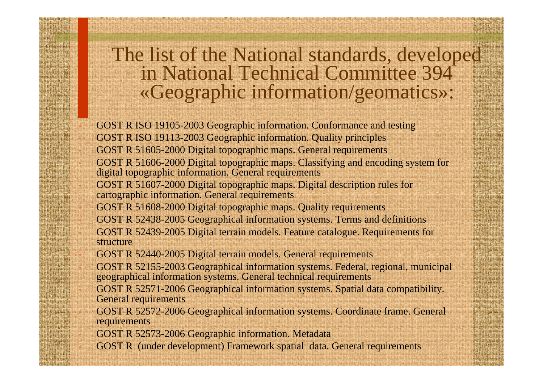# The list of the National standards, developed<br>in National Technical Committee 394 «Geographic information/geomatics»:

 GOST R ISO 19105-2003 Geographic information. Conformance and testing GOST R ISO 19113-2003 Geographic information. Quality principles GOST R 51605-2000 Digital topographic maps. General requirements

- GOST R 51606-2000 Digital topographic maps. Classifying and encoding system for digital topographic information. General requirements
	- GOST R 51607-2000 Digital topographic maps. Digital description rules for cartographic information. General requirements
	- GOST R 51608-2000 Digital topographic maps. Quality requirements
	- GOST R 52438-2005 Geographical information systems. Terms and definitions GOST R 52439-2005 Digital terrain models. Feature catalogue. Requirements for structure
- GOST R 52440-2005 Digital terrain models. General requirements
- GOST R 52155-2003 Geographical information systems. Federal, regio nal, municipal geographical information systems. General technical requirements
- G O S T R 52571-2006 Geographical information systems. Spatial data compatibility. General requireme nts
	- GOST R 52572-2006 Geographical information systems. Coordinate frame. General requirements
	- GOST R 52573-2006 Geographic information. Metadata
	- GOST R (under development) Framework spatial data. General requirements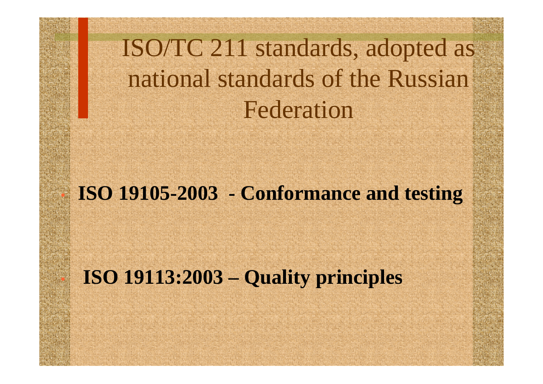# ISO/TC 211 standards, adopted as national standards of the Russian Federation

#### **ISO 19105-2003 - Conformance and testing**

#### **ISO 19113:2003 – Quality principles**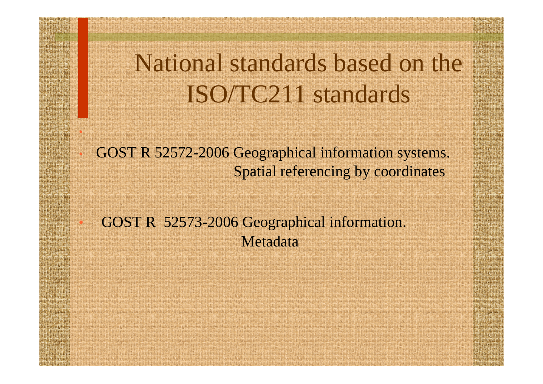## National standards based on the ISO/TC211 standards

 GOST R 52572-2006 Geographical information systems. Spatial referencing by coordinates

 GOST R 52573-2006 Geographical information. Metadata

•

•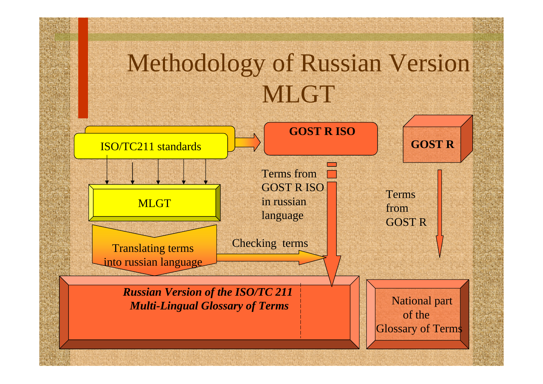# Methodology of Russian Version MLGT

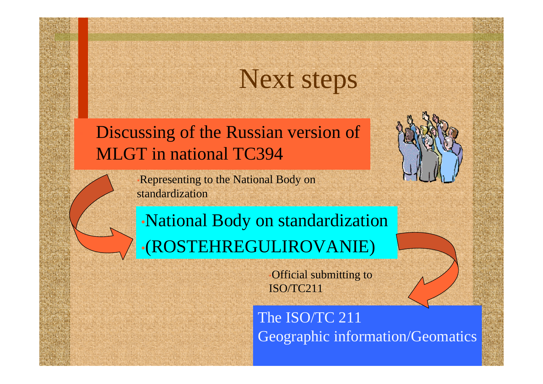## Next steps

 Discussing of the Russian version of MLGT in national TC394

> •Representing to the National Body on standardization

•National Body on standardization •(ROSTEHREGULIROVANIE)

> •Official submitting to ISO/TC211

The ISO/TC 211 Geographic information/Geomatics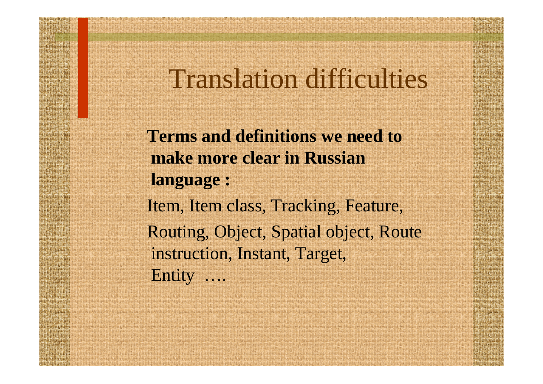#### Translation difficulties

**Terms and definitions we need to make more clear in Russian language :** Item, Item class, Tracking, Feature, Routing, Object, Spatial object, Route instruction, Instant, Target, Entity ….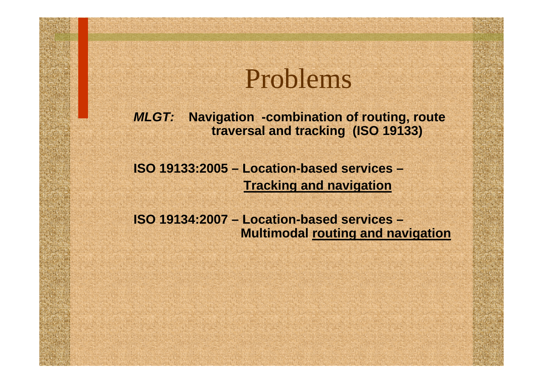### Problems

*MLGT:* **Navigation -combination of routing, route traversal and tracking (ISO 19133)**

**ISO 19133:2005 – Location-based services – Tracking and navigation**

**ISO 19134:2007 – Location-based services – Multimodal routing and navigation**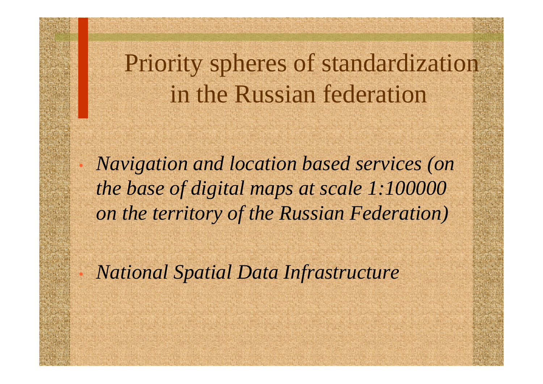### Priority spheres of standardization in the Russian federation

 *Navigation and location based services (on the base of digital maps at scale 1:100000 on the territory of the Russian Federation)*

*National Spatial Data Infrastructure* 

•

•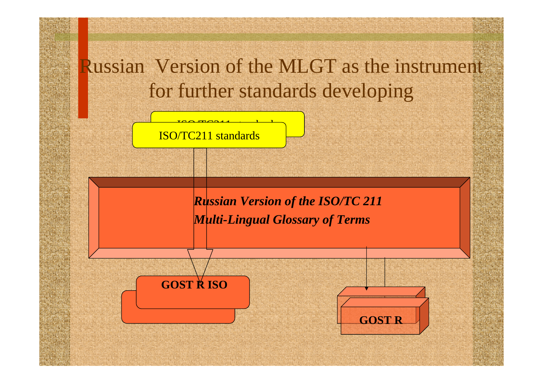Russian Version of the MLGT as the instrument for further standards developing

ISO/TC211 standards

 $\frac{1}{2}$ 

 *Russian Version of the ISO/TC 211 Multi-Lingual Glossary of Terms*

•**GOST R ISO**

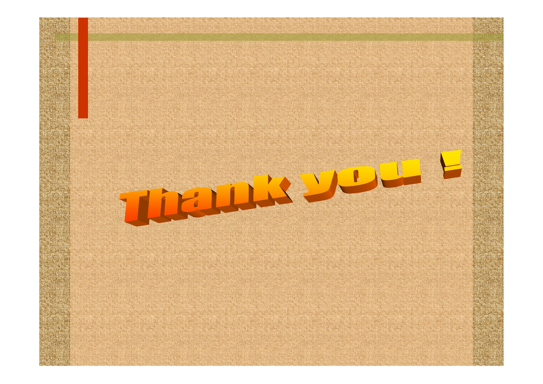